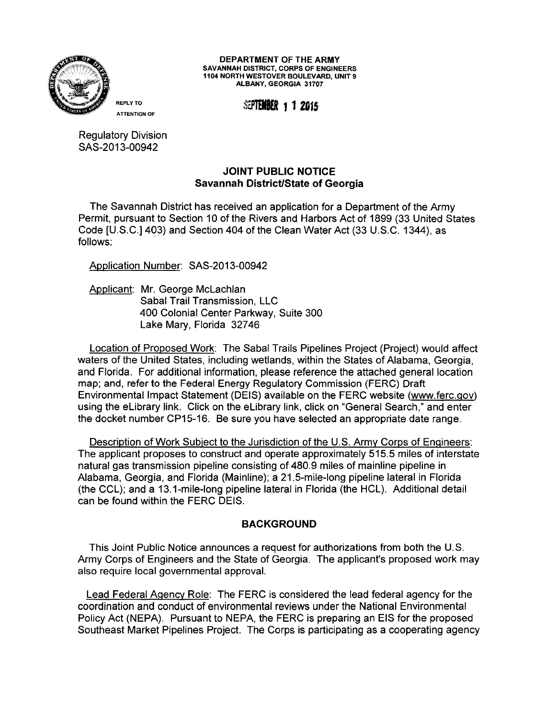

**DEPARTMENT OF THE ARMY**  SAVANNAH DISTRICT, CORPS OF ENGINEERS 1104 NORTH WESTOVER BOULEVARD, UNIT 9 ALBANY, GEORGIA 31707

REPLY TO **SEPTEMBER 1 1 2015** 

Regulatory Division SAS-2013-00942

## **JOINT PUBLIC NOTICE Savannah District/State of Georgia**

The Savannah District has received an application for a Department of the Army Permit, pursuant to Section 10 of the Rivers and Harbors Act of 1899 (33 United States Code [U.S.C.] 403) and Section 404 of the Clean Water Act (33 U.S.C. 1344), as follows:

Application Number: SAS-2013-00942

Applicant: Mr. George McLachlan Sabal Trail Transmission, LLC 400 Colonial Center Parkway, Suite 300 Lake Mary, Florida 32746

Location of Proposed Work: The Sabal Trails Pipelines Project (Project) would affect waters of the United States, including wetlands, within the States of Alabama, Georgia, and Florida. For additional information, please reference the attached general location map; and, refer to the Federal Energy Regulatory Commission (FERC) Draft Environmental Impact Statement (DEIS) available on the FERC website (www.ferc.gov) using the elibrary link. Click on the elibrary link, click on "General Search," and enter the docket number CP15-16. Be sure you have selected an appropriate date range.

Description of Work Subject to the Jurisdiction of the U.S. Army Corps of Engineers: The applicant proposes to construct and operate approximately 515.5 miles of interstate natural gas transmission pipeline consisting of 480.9 miles of mainline pipeline in Alabama, Georgia, and Florida (Mainline); a 21.5-mile-long pipeline lateral in Florida (the CCL); and a 13.1-mile-long pipeline lateral in Florida (the HCL). Additional detail can be found within the FERC DEIS.

## **BACKGROUND**

This Joint Public Notice announces a request for authorizations from both the U.S. Army Corps of Engineers and the State of Georgia. The applicant's proposed work may also require local governmental approval.

Lead Federal Agency Role: The FERC is considered the lead federal agency for the coordination and conduct of environmental reviews under the National Environmental Policy Act (NEPA). Pursuant to NEPA, the FERC is preparing an EIS for the proposed Southeast Market Pipelines Project. The Corps is participating as a cooperating agency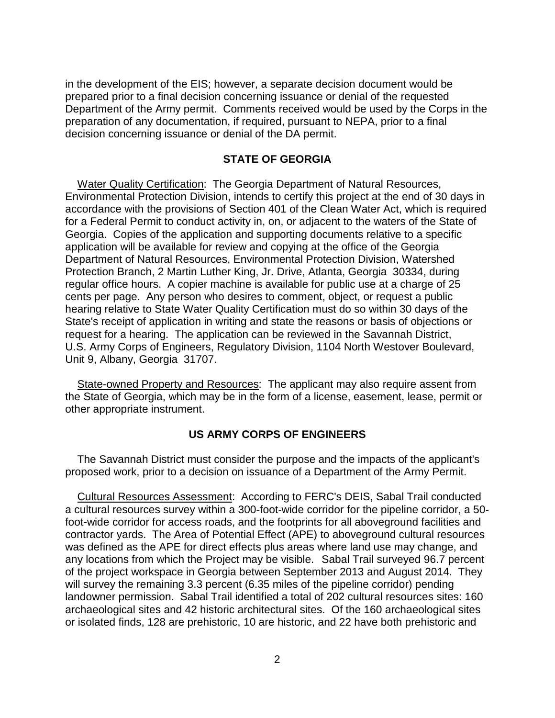in the development of the EIS; however, a separate decision document would be preparation of any documentation, if required, pursuant to NEPA, prior to a final decision concerning issuance or denial of the DA permit. prepared prior to a final decision concerning issuance or denial of the requested Department of the Army permit. Comments received would be used by the Corps in the

## **STATE OF GEORGIA**

 accordance with the provisions of Section 401 of the Clean Water Act, which is required for a Federal Permit to conduct activity in, on, or adjacent to the waters of the State of regular office hours. A copier machine is available for public use at a charge of 25 hearing relative to State Water Quality Certification must do so within 30 days of the request for a hearing. The application can be reviewed in the Savannah District, Water Quality Certification: The Georgia Department of Natural Resources, Environmental Protection Division, intends to certify this project at the end of 30 days in Georgia. Copies of the application and supporting documents relative to a specific application will be available for review and copying at the office of the Georgia Department of Natural Resources, Environmental Protection Division, Watershed Protection Branch, 2 Martin Luther King, Jr. Drive, Atlanta, Georgia 30334, during cents per page. Any person who desires to comment, object, or request a public State's receipt of application in writing and state the reasons or basis of objections or U.S. Army Corps of Engineers, Regulatory Division, 1104 North Westover Boulevard, Unit 9, Albany, Georgia 31707.

State-owned Property and Resources: The applicant may also require assent from the State of Georgia, which may be in the form of a license, easement, lease, permit or other appropriate instrument.

## **US ARMY CORPS OF ENGINEERS**

The Savannah District must consider the purpose and the impacts of the applicant's proposed work, prior to a decision on issuance of a Department of the Army Permit.

 foot-wide corridor for access roads, and the footprints for all aboveground facilities and any locations from which the Project may be visible. Sabal Trail surveyed 96.7 percent landowner permission. Sabal Trail identified a total of 202 cultural resources sites: 160 archaeological sites and 42 historic architectural sites. Of the 160 archaeological sites Cultural Resources Assessment: According to FERC's DEIS, Sabal Trail conducted a cultural resources survey within a 300-foot-wide corridor for the pipeline corridor, a 50 contractor yards. The Area of Potential Effect (APE) to aboveground cultural resources was defined as the APE for direct effects plus areas where land use may change, and of the project workspace in Georgia between September 2013 and August 2014. They will survey the remaining 3.3 percent (6.35 miles of the pipeline corridor) pending or isolated finds, 128 are prehistoric, 10 are historic, and 22 have both prehistoric and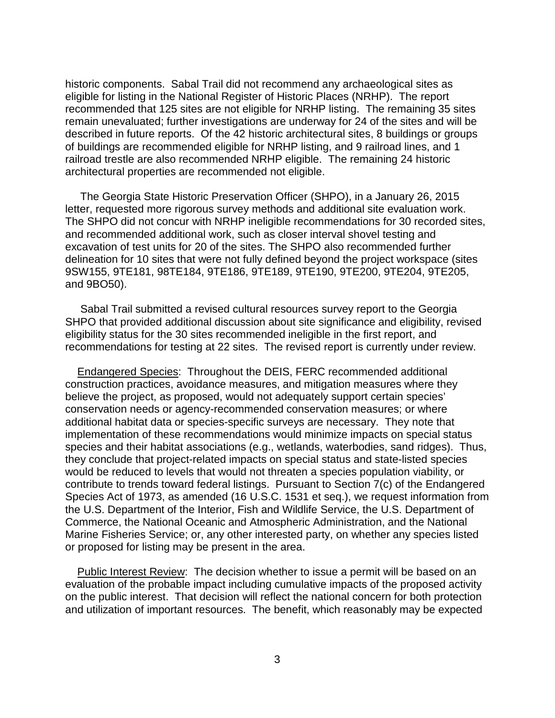historic components. Sabal Trail did not recommend any archaeological sites as recommended that 125 sites are not eligible for NRHP listing. The remaining 35 sites described in future reports. Of the 42 historic architectural sites, 8 buildings or groups railroad trestle are also recommended NRHP eligible. The remaining 24 historic architectural properties are recommended not eligible. eligible for listing in the National Register of Historic Places (NRHP). The report remain unevaluated; further investigations are underway for 24 of the sites and will be of buildings are recommended eligible for NRHP listing, and 9 railroad lines, and 1

and 9BO50). The Georgia State Historic Preservation Officer (SHPO), in a January 26, 2015 letter, requested more rigorous survey methods and additional site evaluation work. The SHPO did not concur with NRHP ineligible recommendations for 30 recorded sites, and recommended additional work, such as closer interval shovel testing and excavation of test units for 20 of the sites. The SHPO also recommended further delineation for 10 sites that were not fully defined beyond the project workspace (sites 9SW155, 9TE181, 98TE184, 9TE186, 9TE189, 9TE190, 9TE200, 9TE204, 9TE205,

 recommendations for testing at 22 sites. The revised report is currently under review. Sabal Trail submitted a revised cultural resources survey report to the Georgia SHPO that provided additional discussion about site significance and eligibility, revised eligibility status for the 30 sites recommended ineligible in the first report, and

 construction practices, avoidance measures, and mitigation measures where they conservation needs or agency-recommended conservation measures; or where additional habitat data or species-specific surveys are necessary. They note that species and their habitat associations (e.g., wetlands, waterbodies, sand ridges). Thus, they conclude that project-related impacts on special status and state-listed species contribute to trends toward federal listings. Pursuant to Section 7(c) of the Endangered Species Act of 1973, as amended (16 U.S.C. 1531 et seq.), we request information from or proposed for listing may be present in the area. Endangered Species: Throughout the DEIS, FERC recommended additional believe the project, as proposed, would not adequately support certain species' implementation of these recommendations would minimize impacts on special status would be reduced to levels that would not threaten a species population viability, or the U.S. Department of the Interior, Fish and Wildlife Service, the U.S. Department of Commerce, the National Oceanic and Atmospheric Administration, and the National Marine Fisheries Service; or, any other interested party, on whether any species listed

 on the public interest. That decision will reflect the national concern for both protection and utilization of important resources. The benefit, which reasonably may be expected Public Interest Review: The decision whether to issue a permit will be based on an evaluation of the probable impact including cumulative impacts of the proposed activity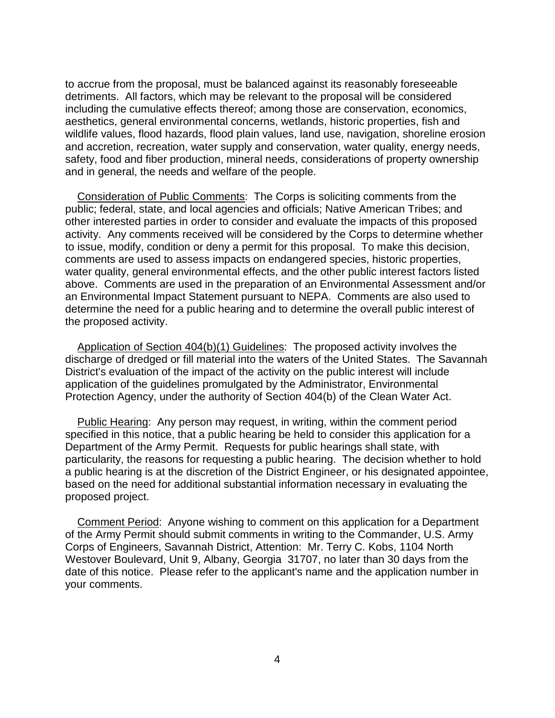safety, food and fiber production, mineral needs, considerations of property ownership to accrue from the proposal, must be balanced against its reasonably foreseeable detriments. All factors, which may be relevant to the proposal will be considered including the cumulative effects thereof; among those are conservation, economics, aesthetics, general environmental concerns, wetlands, historic properties, fish and wildlife values, flood hazards, flood plain values, land use, navigation, shoreline erosion and accretion, recreation, water supply and conservation, water quality, energy needs, and in general, the needs and welfare of the people.

 other interested parties in order to consider and evaluate the impacts of this proposed to issue, modify, condition or deny a permit for this proposal. To make this decision, water quality, general environmental effects, and the other public interest factors listed above. Comments are used in the preparation of an Environmental Assessment and/or determine the need for a public hearing and to determine the overall public interest of Consideration of Public Comments: The Corps is soliciting comments from the public; federal, state, and local agencies and officials; Native American Tribes; and activity. Any comments received will be considered by the Corps to determine whether comments are used to assess impacts on endangered species, historic properties, an Environmental Impact Statement pursuant to NEPA. Comments are also used to the proposed activity.

 discharge of dredged or fill material into the waters of the United States. The Savannah Application of Section 404(b)(1) Guidelines: The proposed activity involves the District's evaluation of the impact of the activity on the public interest will include application of the guidelines promulgated by the Administrator, Environmental Protection Agency, under the authority of Section 404(b) of the Clean Water Act.

 Department of the Army Permit. Requests for public hearings shall state, with particularity, the reasons for requesting a public hearing. The decision whether to hold based on the need for additional substantial information necessary in evaluating the Public Hearing: Any person may request, in writing, within the comment period specified in this notice, that a public hearing be held to consider this application for a a public hearing is at the discretion of the District Engineer, or his designated appointee, proposed project.

 Westover Boulevard, Unit 9, Albany, Georgia 31707, no later than 30 days from the Comment Period: Anyone wishing to comment on this application for a Department of the Army Permit should submit comments in writing to the Commander, U.S. Army Corps of Engineers, Savannah District, Attention: Mr. Terry C. Kobs, 1104 North date of this notice. Please refer to the applicant's name and the application number in your comments.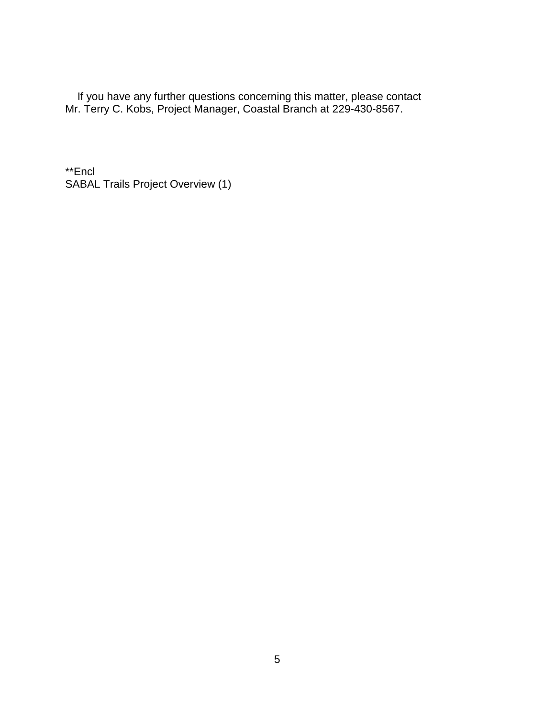If you have any further questions concerning this matter, please contact Mr. Terry C. Kobs, Project Manager, Coastal Branch at 229-430-8567.

 SABAL Trails Project Overview (1) \*\*Encl